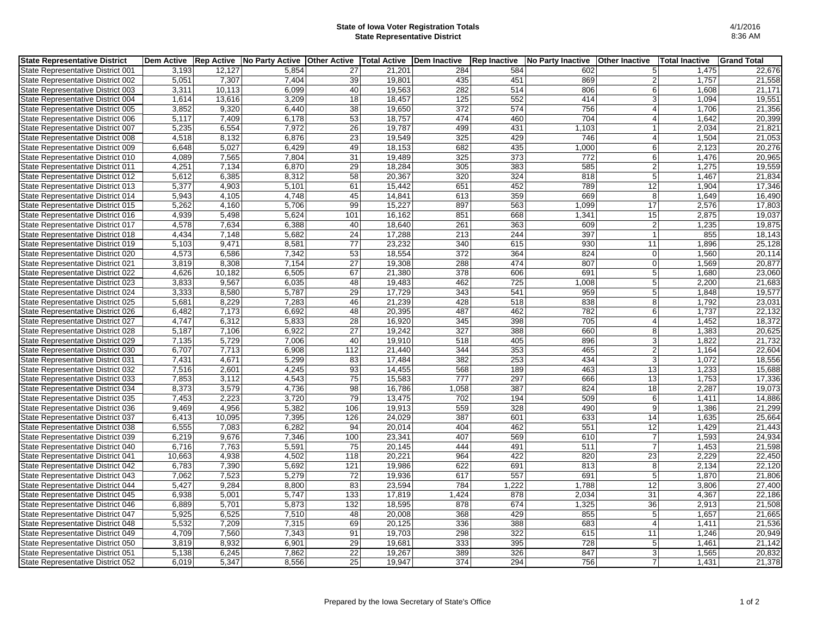## **State of Iowa Voter Registration Totals State Representative District**

| <b>State Representative District</b> | <b>Dem Active</b> |        | Rep Active   No Party Active | <b>Other Active</b> | <b>Total Active</b> | Dem Inactive     | <b>Rep Inactive</b> | <b>No Party Inactive</b> | <b>Other Inactive</b> | <b>Total Inactive</b> | <b>Grand Total</b> |
|--------------------------------------|-------------------|--------|------------------------------|---------------------|---------------------|------------------|---------------------|--------------------------|-----------------------|-----------------------|--------------------|
| State Representative District 001    | 3,193             | 12,127 | 5,854                        | 27                  | 21,201              | 284              | 584                 | 602                      | 5 <sup>1</sup>        | 1,475                 | 22,676             |
| State Representative District 002    | 5,051             | 7,307  | 7,404                        | 39                  | 19,801              | 435              | 451                 | 869                      | $\overline{2}$        | 1,757                 | 21,558             |
| State Representative District 003    | 3.311             | 10.113 | 6.099                        | 40                  | 19,563              | 282              | 514                 | 806                      | $6 \mid$              | 1.608                 | 21,171             |
| State Representative District 004    | 1,614             | 13,616 | 3,209                        | $\overline{18}$     | 18,457              | 125              | 552                 | 414                      | $\mathbf{3}$          | 1,094                 | 19,551             |
| State Representative District 005    | 3,852             | 9,320  | 6,440                        | 38                  | 19,650              | $\overline{372}$ | $\overline{574}$    | 756                      | $\vert$               | 1,706                 | 21,356             |
| State Representative District 006    | 5,117             | 7,409  | 6,178                        | 53                  | 18,757              | 474              | 460                 | 704                      | $\vert$               | $\overline{1,642}$    | 20,399             |
| State Representative District 007    | 5,235             | 6,554  | 7,972                        | $\overline{26}$     | 19,787              | 499              | 431                 | 1,103                    |                       | 2,034                 | 21,821             |
| State Representative District 008    | 4,518             | 8,132  | 6,876                        | 23                  | 19,549              | 325              | 429                 | 746                      | $\overline{4}$        | 1,504                 | 21,053             |
| State Representative District 009    | 6,648             | 5,027  | 6,429                        | 49                  | 18,153              | 682              | 435                 | 1,000                    | $6 \mid$              | 2,123                 | 20,276             |
| State Representative District 010    | 4,089             | 7,565  | 7,804                        | 31                  | 19,489              | 325              | 373                 | $\overline{772}$         | $6 \mid$              | 1,476                 | 20,965             |
| State Representative District 011    | 4,251             | 7,134  | 6,870                        | 29                  | 18,284              | 305              | 383                 | 585                      | $\overline{2}$        | 1,275                 | 19,559             |
| State Representative District 012    | 5,612             | 6,385  | 8,312                        | 58                  | 20,367              | 320              | 324                 | 818                      | 5 <sub>l</sub>        | 1,467                 | 21,834             |
| State Representative District 013    | 5,377             | 4,903  | 5,101                        | 61                  | 15,442              | 651              | 452                 | 789                      | 12                    | 1,904                 | 17,346             |
| State Representative District 014    | 5,943             | 4,105  | 4,748                        | 45                  | 14,841              | 613              | 359                 | 669                      | 8                     | 1,649                 | 16,490             |
| State Representative District 015    | 5,262             | 4,160  | 5,706                        | 99                  | 15,227              | 897              | 563                 | 1,099                    | 17                    | 2,576                 | 17,803             |
| State Representative District 016    | 4,939             | 5,498  | 5,624                        | 101                 | 16,162              | 851              | 668                 | 1,341                    | 15                    | 2,875                 | 19,037             |
| State Representative District 017    | 4.578             | 7,634  | 6.388                        | 40                  | 18.640              | 261              | 363                 | 609                      | $\overline{2}$        | 1,235                 | 19,875             |
| State Representative District 018    | 4,434             | 7,148  | 5,682                        | 24                  | 17,288              | 213              | 244                 | 397                      | $\mathbf{1}$          | 855                   | 18,143             |
| State Representative District 019    | 5,103             | 9,471  | 8,581                        | $\overline{77}$     | 23,232              | 340              | 615                 | 930                      | 11                    | 1,896                 | 25,128             |
| State Representative District 020    | 4,573             | 6,586  | 7,342                        | 53                  | 18,554              | 372              | 364                 | 824                      | $\Omega$              | 1,560                 | 20,114             |
| State Representative District 021    | 3,819             | 8,308  | 7,154                        | 27                  | 19,308              | 288              | 474                 | 807                      | $\overline{0}$        | 1,569                 | 20,877             |
| State Representative District 022    | 4,626             | 10,182 | 6,505                        | 67                  | 21,380              | 378              | 606                 | 691                      | 5 <sup>1</sup>        | 1,680                 | 23,060             |
| State Representative District 023    | 3,833             | 9,567  | 6,035                        | 48                  | 19,483              | 462              | 725                 | 1,008                    | 5 <sup>5</sup>        | 2,200                 | 21,683             |
| State Representative District 024    | 3,333             | 8,580  | 5,787                        | 29                  | 17,729              | 343              | 541                 | 959                      | 5                     | 1,848                 | 19,577             |
| State Representative District 025    | 5,681             | 8,229  | 7,283                        | 46                  | 21,239              | 428              | 518                 | 838                      | 8 <sup>1</sup>        | 1,792                 | 23,031             |
| State Representative District 026    | 6,482             | 7,173  | 6,692                        | 48                  | 20,395              | 487              | 462                 | 782                      | 6                     | 1,737                 | 22,132             |
| State Representative District 027    | 4,747             | 6,312  | 5,833                        | 28                  | 16,920              | 345              | 398                 | 705                      | $\overline{4}$        | 1,452                 | 18,372             |
| State Representative District 028    | 5,187             | 7,106  | 6,922                        | 27                  | 19,242              | 327              | 388                 | 660                      | 8                     | 1,383                 | 20,625             |
| State Representative District 029    | 7,135             | 5,729  | 7,006                        | 40                  | 19,910              | 518              | 405                 | 896                      | $\mathbf{3}$          | 1,822                 | 21,732             |
| State Representative District 030    | 6,707             | 7,713  | 6,908                        | 112                 | 21,440              | 344              | 353                 | 465                      | $\overline{2}$        | 1,164                 | 22,604             |
| State Representative District 031    | 7,431             | 4,671  | 5,299                        | 83                  | 17.484              | 382              | 253                 | 434                      | 3                     | 1,072                 | 18,556             |
| State Representative District 032    | 7,516             | 2,601  | 4,245                        | 93                  | 14,455              | 568              | 189                 | 463                      | 13                    | 1,233                 | 15,688             |
| State Representative District 033    | 7,853             | 3,112  | 4,543                        | $\overline{75}$     | 15,583              | $\overline{777}$ | 297                 | 666                      | $\overline{13}$       | 1,753                 | 17,336             |
| State Representative District 034    | 8.373             | 3,579  | 4.736                        | 98                  | 16,786              | 1,058            | 387                 | 824                      | 18                    | 2,287                 | 19,073             |
| State Representative District 035    | 7,453             | 2,223  | 3,720                        | 79                  | 13,475              | 702              | 194                 | 509                      | $6 \mid$              | 1,411                 | 14,886             |
| State Representative District 036    | 9,469             | 4,956  | 5,382                        | 106                 | 19,913              | 559              | 328                 | 490                      | 9                     | 1,386                 | 21,299             |
| State Representative District 037    | 6,413             | 10,095 | 7,395                        | 126                 | 24,029              | 387              | 601                 | 633                      | 14                    | 1,635                 | 25,664             |
| State Representative District 038    | 6,555             | 7,083  | 6,282                        | 94                  | 20,014              | 404              | 462                 | 551                      | 12                    | 1,429                 | 21,443             |
| State Representative District 039    | 6.219             | 9,676  | 7,346                        | 100                 | 23,341              | 407              | 569                 | 610                      | $\overline{7}$        | 1,593                 | 24,934             |
| State Representative District 040    | 6,716             | 7,763  | 5,591                        | 75                  | 20,145              | 444              | 491                 | 511                      | $\overline{7}$        | 1,453                 | 21,598             |
| State Representative District 041    | 10,663            | 4,938  | 4,502                        | 118                 | 20,221              | 964              | 422                 | 820                      | 23                    | 2,229                 | 22,450             |
| State Representative District 042    | 6,783             | 7,390  | 5,692                        | 121                 | 19,986              | 622              | 691                 | 813                      | 8 <sup>°</sup>        | 2,134                 | 22,120             |
| State Representative District 043    | 7,062             | 7,523  | 5,279                        | 72                  | 19,936              | 617              | 557                 | 691                      | 5 <sup>5</sup>        | 1,870                 | 21,806             |
| State Representative District 044    | 5,427             | 9,284  | 8,800                        | 83                  | 23,594              | 784              | 1,222               | 1,788                    | 12                    | 3,806                 | 27,400             |
| State Representative District 045    | 6,938             | 5,001  | 5,747                        | 133                 | 17,819              | 1,424            | 878                 | 2,034                    | 31                    | 4,367                 | 22,186             |
| State Representative District 046    | 6,889             | 5,701  | 5,873                        | 132                 | 18,595              | 878              | 674                 | 1,325                    | 36                    | 2,913                 | 21,508             |
| State Representative District 047    | 5,925             | 6,525  | 7,510                        | 48                  | 20,008              | 368              | 429                 | 855                      | 5 <sub>l</sub>        | 1,657                 | 21,665             |
| State Representative District 048    | 5,532             | 7,209  | 7,315                        | 69                  | 20,125              | 336              | 388                 | 683                      | $\overline{4}$        | 1,411                 | 21,536             |
| State Representative District 049    | 4,709             | 7,560  | 7,343                        | 91                  | 19,703              | 298              | 322                 | 615                      | 11                    | 1,246                 | 20,949             |
| State Representative District 050    | 3,819             | 8,932  | 6,901                        | 29                  | 19,681              | 333              | 395                 | 728                      | 5 <sup>1</sup>        | 1,461                 | 21,142             |
| State Representative District 051    | 5,138             | 6,245  | 7,862                        | 22                  | 19,267              | 389              | 326                 | 847                      | $\overline{3}$        | 1,565                 | 20,832             |
| State Representative District 052    | 6.019             | 5,347  | 8.556                        | 25                  | 19,947              | 374              | 294                 | 756                      | 7 <sup>1</sup>        | 1,431                 | 21,378             |